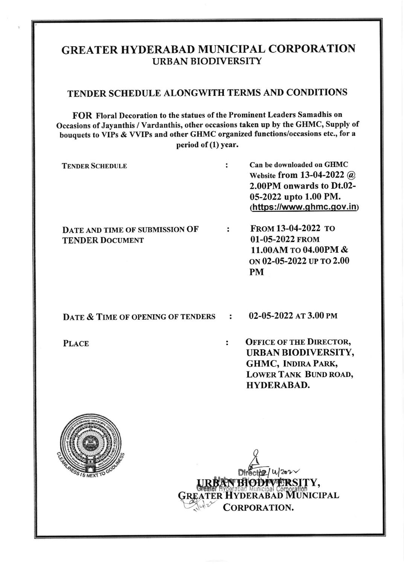# GREATER HYDERABAD MUNICIPAL CORPORATION URBAN BIODIVERSITY

### TENDER SCHEDULE ALONGWITH TERMS AND CONDITIONS

FOR Floral Decoration to the statues of the Prominent Leaders Samadhis on Occasions of Jayanthis / Vardanthis, other occasions taken up by the GHMC, Supply of bouquets to YIPs & VYIPs and other GHMC organized functions/occasions etc., for <sup>a</sup> period of (1) year.

TENDER SCHEDULE : Can be downloaded on GHMC Website from 13-04-2022 @ 2.00PM onwards to Dt.02- 05-2022 upto 1.00 PM. (https://www.ghmc.gov.in)

FRoM 13-04-2022 ro DATE AND TIME OF SUBMISSION OF : 01-05-2022 FROM **TENDER DOCUMENT** 11.00AM ro 04.00PM & oN 02-05-2022 uP ro 2.00 PM

DATE  $\&$  TIME OF OPENING OF TENDERS : 02-05-2022 AT 3.00 PM

PLACE : OFFICE OF THE DIRECTOR, URBAN BIODIVERSITY, GHMC, INDIRA PARK, LOWER TANK BUND ROAD, HYDERABAD.



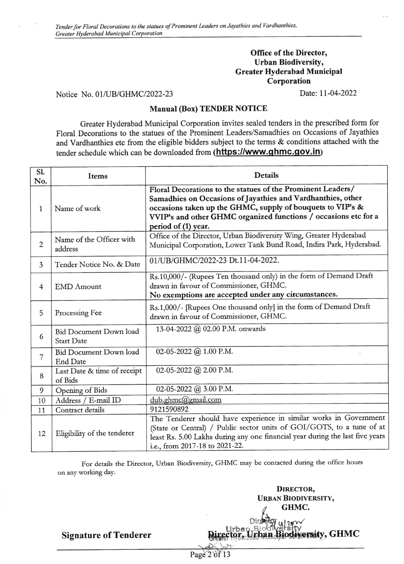#### Office of the Director, Urban Biodiversity, Greater Hyderabad Municipal Corporation

Notice No. 01/UB/GHMC/2022-23

Date:11-04-2022

#### Manual (Box) TENDER NOTICE

Greater Hyderabad Municipal Corporation invites sealed tenders in the prescribed form for Floral Decorations to the statues of the Prominent Leaders/Samadhies on Occasions of Jayathies and Vardhanthies etc from the eligible bidders subject to the terms & conditions attached with the tender schedule which can be downloaded from (https://www.ghmc.gov.in)

| <b>S1.</b><br>No. | Items                                              | <b>Details</b>                                                                                                                                                                                                                                                                     |
|-------------------|----------------------------------------------------|------------------------------------------------------------------------------------------------------------------------------------------------------------------------------------------------------------------------------------------------------------------------------------|
| 1                 | Name of work                                       | Floral Decorations to the statues of the Prominent Leaders/<br>Samadhies on Occasions of Jayathies and Vardhanthies, other<br>occasions taken up the GHMC, supply of bouquets to VIP's &<br>VVIP's and other GHMC organized functions / occasions etc for a<br>period of (1) year. |
| $\overline{c}$    | Name of the Officer with<br>address                | Office of the Director, Urban Biodiversity Wing, Greater Hyderabad<br>Municipal Corporation, Lower Tank Bund Road, Indira Park, Hyderabad.                                                                                                                                         |
| $\overline{3}$    | Tender Notice No. & Date                           | 01/UB/GHMC/2022-23 Dt.11-04-2022.                                                                                                                                                                                                                                                  |
| $\overline{4}$    | <b>EMD</b> Amount                                  | Rs.10,000/- (Rupees Ten thousand only) in the form of Demand Draft<br>drawn in favour of Commissioner, GHMC.<br>No exemptions are accepted under any circumstances.                                                                                                                |
| 5                 | Processing Fee                                     | Rs.1,000/- [Rupees One thousand only] in the form of Demand Draft<br>drawn in favour of Commissioner, GHMC.                                                                                                                                                                        |
| 6                 | <b>Bid Document Down load</b><br><b>Start Date</b> | 13-04-2022 @ 02.00 P.M. onwards                                                                                                                                                                                                                                                    |
| $\overline{7}$    | <b>Bid Document Down load</b><br><b>End Date</b>   | 02-05-2022 @ 1.00 P.M.                                                                                                                                                                                                                                                             |
| 8                 | Last Date & time of receipt<br>of Bids             | 02-05-2022 @ 2.00 P.M.                                                                                                                                                                                                                                                             |
| 9                 | Opening of Bids                                    | 02-05-2022 @ 3.00 P.M.                                                                                                                                                                                                                                                             |
| 10                | Address / E-mail ID                                | dub.ghmc@gmail.com                                                                                                                                                                                                                                                                 |
| 11                | Contract details                                   | 9121590892                                                                                                                                                                                                                                                                         |
| 12                | Eligibility of the tenderer                        | The Tenderer should have experience in similar works in Government<br>(State or Central) / Public sector units of GOI/GOTS, to a tune of at<br>least Rs. 5.00 Lakhs during any one financial year during the last five years<br>i.e., from 2017-18 to 2021-22.                     |

For details the Director, Urban Biodiversity, GHMC may be contacted during the office hours on any working day.

Page 2 of 13

DIRECTOR, URBAN BIoDTVERSITY, **Wersity, GHMC** GHMC.

Signature of Tenderer